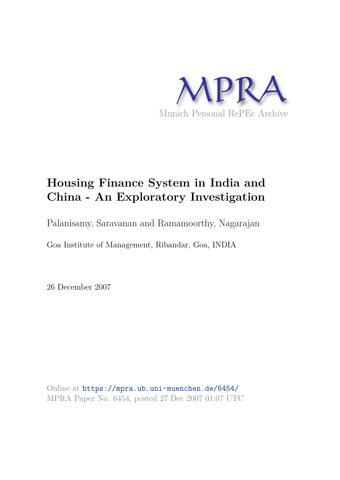

## **Housing Finance System in India and China - An Exploratory Investigation**

Palanisamy, Saravanan and Ramamoorthy, Nagarajan

Goa Institute of Management, Ribandar, Goa, INDIA

26 December 2007

Online at https://mpra.ub.uni-muenchen.de/6454/ MPRA Paper No. 6454, posted 27 Dec 2007 01:07 UTC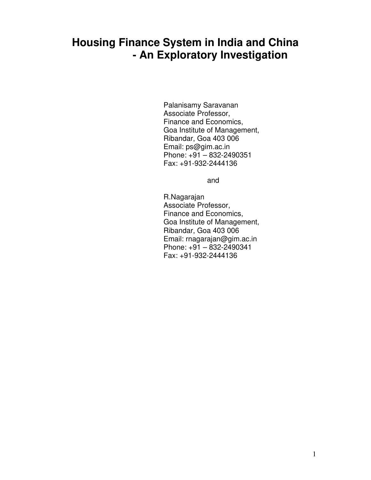### **Housing Finance System in India and China - An Exploratory Investigation**

 Palanisamy Saravanan Associate Professor, Finance and Economics, Goa Institute of Management, Ribandar, Goa 403 006 Email: ps@gim.ac.in Phone: +91 – 832-2490351 Fax: +91-932-2444136

and the contract of the contract of the contract of the contract of the contract of the contract of the contract of the contract of the contract of the contract of the contract of the contract of the contract of the contra

 R.Nagarajan Associate Professor, Finance and Economics, Goa Institute of Management, Ribandar, Goa 403 006 Email: rnagarajan@gim.ac.in Phone: +91 – 832-2490341 Fax: +91-932-2444136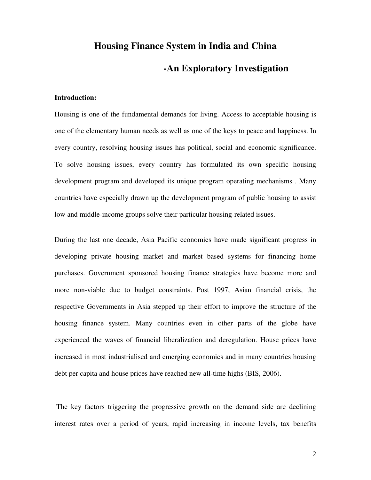# **Housing Finance System in India and China -An Exploratory Investigation**

#### **Introduction:**

Housing is one of the fundamental demands for living. Access to acceptable housing is one of the elementary human needs as well as one of the keys to peace and happiness. In every country, resolving housing issues has political, social and economic significance. To solve housing issues, every country has formulated its own specific housing development program and developed its unique program operating mechanisms . Many countries have especially drawn up the development program of public housing to assist low and middle-income groups solve their particular housing-related issues.

During the last one decade, Asia Pacific economies have made significant progress in developing private housing market and market based systems for financing home purchases. Government sponsored housing finance strategies have become more and more non-viable due to budget constraints. Post 1997, Asian financial crisis, the respective Governments in Asia stepped up their effort to improve the structure of the housing finance system. Many countries even in other parts of the globe have experienced the waves of financial liberalization and deregulation. House prices have increased in most industrialised and emerging economics and in many countries housing debt per capita and house prices have reached new all-time highs (BIS, 2006).

 The key factors triggering the progressive growth on the demand side are declining interest rates over a period of years, rapid increasing in income levels, tax benefits

2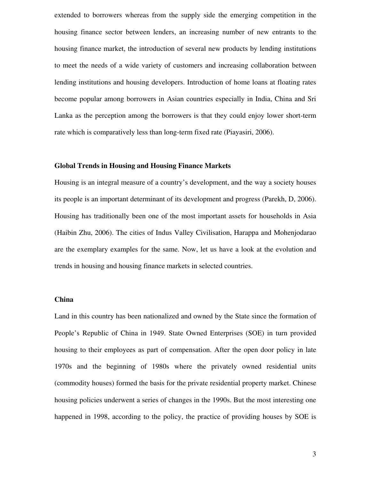extended to borrowers whereas from the supply side the emerging competition in the housing finance sector between lenders, an increasing number of new entrants to the housing finance market, the introduction of several new products by lending institutions to meet the needs of a wide variety of customers and increasing collaboration between lending institutions and housing developers. Introduction of home loans at floating rates become popular among borrowers in Asian countries especially in India, China and Sri Lanka as the perception among the borrowers is that they could enjoy lower short-term rate which is comparatively less than long-term fixed rate (Piayasiri, 2006).

#### **Global Trends in Housing and Housing Finance Markets**

Housing is an integral measure of a country's development, and the way a society houses its people is an important determinant of its development and progress (Parekh, D, 2006). Housing has traditionally been one of the most important assets for households in Asia (Haibin Zhu, 2006). The cities of Indus Valley Civilisation, Harappa and Mohenjodarao are the exemplary examples for the same. Now, let us have a look at the evolution and trends in housing and housing finance markets in selected countries.

#### **China**

Land in this country has been nationalized and owned by the State since the formation of People's Republic of China in 1949. State Owned Enterprises (SOE) in turn provided housing to their employees as part of compensation. After the open door policy in late 1970s and the beginning of 1980s where the privately owned residential units (commodity houses) formed the basis for the private residential property market. Chinese housing policies underwent a series of changes in the 1990s. But the most interesting one happened in 1998, according to the policy, the practice of providing houses by SOE is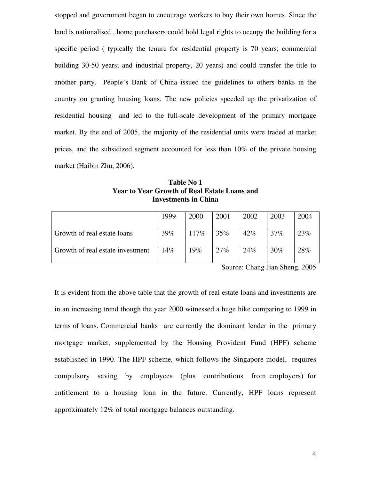stopped and government began to encourage workers to buy their own homes. Since the land is nationalised , home purchasers could hold legal rights to occupy the building for a specific period ( typically the tenure for residential property is 70 years; commercial building 30-50 years; and industrial property, 20 years) and could transfer the title to another party. People's Bank of China issued the guidelines to others banks in the country on granting housing loans. The new policies speeded up the privatization of residential housing and led to the full-scale development of the primary mortgage market. By the end of 2005, the majority of the residential units were traded at market prices, and the subsidized segment accounted for less than 10% of the private housing market (Haibin Zhu, 2006).

**Table No 1 Year to Year Growth of Real Estate Loans and Investments in China** 

|                                  | 1999 | 2000 | 2001 | 2002   | 2003   | 2004 |
|----------------------------------|------|------|------|--------|--------|------|
|                                  |      |      |      |        |        |      |
| Growth of real estate loans      | 39%  | 117% | 35%  | $42\%$ | $37\%$ | 23%  |
| Growth of real estate investment | 14%  | 19%  | 27%  | 24%    | 30%    | 28%  |

Source: Chang Jian Sheng, 2005

It is evident from the above table that the growth of real estate loans and investments are in an increasing trend though the year 2000 witnessed a huge hike comparing to 1999 in terms of loans. Commercial banks are currently the dominant lender in the primary mortgage market, supplemented by the Housing Provident Fund (HPF) scheme established in 1990. The HPF scheme, which follows the Singapore model, requires compulsory saving by employees (plus contributions from employers) for entitlement to a housing loan in the future. Currently, HPF loans represent approximately 12% of total mortgage balances outstanding.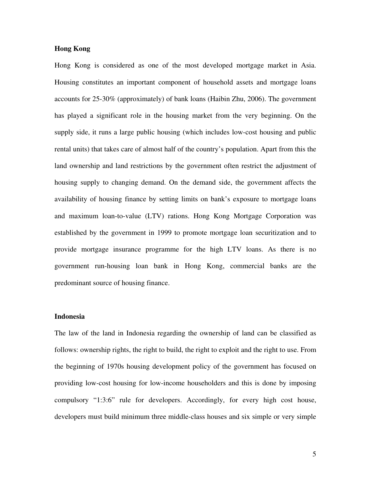#### **Hong Kong**

Hong Kong is considered as one of the most developed mortgage market in Asia. Housing constitutes an important component of household assets and mortgage loans accounts for 25-30% (approximately) of bank loans (Haibin Zhu, 2006). The government has played a significant role in the housing market from the very beginning. On the supply side, it runs a large public housing (which includes low-cost housing and public rental units) that takes care of almost half of the country's population. Apart from this the land ownership and land restrictions by the government often restrict the adjustment of housing supply to changing demand. On the demand side, the government affects the availability of housing finance by setting limits on bank's exposure to mortgage loans and maximum loan-to-value (LTV) rations. Hong Kong Mortgage Corporation was established by the government in 1999 to promote mortgage loan securitization and to provide mortgage insurance programme for the high LTV loans. As there is no government run-housing loan bank in Hong Kong, commercial banks are the predominant source of housing finance.

#### **Indonesia**

The law of the land in Indonesia regarding the ownership of land can be classified as follows: ownership rights, the right to build, the right to exploit and the right to use. From the beginning of 1970s housing development policy of the government has focused on providing low-cost housing for low-income householders and this is done by imposing compulsory "1:3:6" rule for developers. Accordingly, for every high cost house, developers must build minimum three middle-class houses and six simple or very simple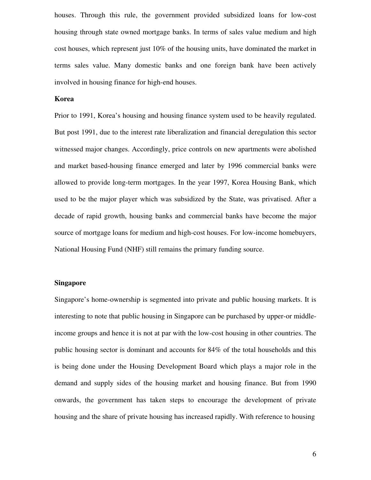houses. Through this rule, the government provided subsidized loans for low-cost housing through state owned mortgage banks. In terms of sales value medium and high cost houses, which represent just 10% of the housing units, have dominated the market in terms sales value. Many domestic banks and one foreign bank have been actively involved in housing finance for high-end houses.

#### **Korea**

Prior to 1991, Korea's housing and housing finance system used to be heavily regulated. But post 1991, due to the interest rate liberalization and financial deregulation this sector witnessed major changes. Accordingly, price controls on new apartments were abolished and market based-housing finance emerged and later by 1996 commercial banks were allowed to provide long-term mortgages. In the year 1997, Korea Housing Bank, which used to be the major player which was subsidized by the State, was privatised. After a decade of rapid growth, housing banks and commercial banks have become the major source of mortgage loans for medium and high-cost houses. For low-income homebuyers, National Housing Fund (NHF) still remains the primary funding source.

#### **Singapore**

Singapore's home-ownership is segmented into private and public housing markets. It is interesting to note that public housing in Singapore can be purchased by upper-or middleincome groups and hence it is not at par with the low-cost housing in other countries. The public housing sector is dominant and accounts for 84% of the total households and this is being done under the Housing Development Board which plays a major role in the demand and supply sides of the housing market and housing finance. But from 1990 onwards, the government has taken steps to encourage the development of private housing and the share of private housing has increased rapidly. With reference to housing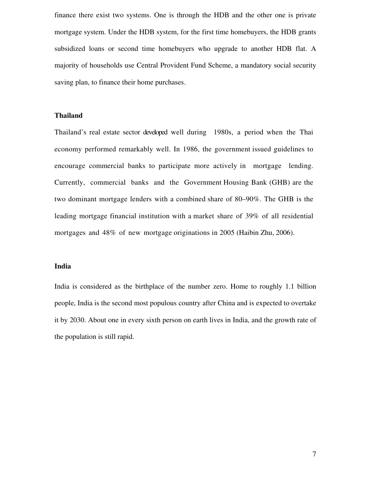finance there exist two systems. One is through the HDB and the other one is private mortgage system. Under the HDB system, for the first time homebuyers, the HDB grants subsidized loans or second time homebuyers who upgrade to another HDB flat. A majority of households use Central Provident Fund Scheme, a mandatory social security saving plan, to finance their home purchases.

#### **Thailand**

Thailand's real estate sector developed well during 1980s, a period when the Thai economy performed remarkably well. In 1986, the government issued guidelines to encourage commercial banks to participate more actively in mortgage lending. Currently, commercial banks and the Government Housing Bank (GHB) are the two dominant mortgage lenders with a combined share of 80–90%. The GHB is the leading mortgage financial institution with a market share of 39% of all residential mortgages and 48% of new mortgage originations in 2005 (Haibin Zhu, 2006).

#### **India**

India is considered as the birthplace of the number zero. Home to roughly 1.1 billion people, India is the second most populous country after China and is expected to overtake it by 2030. About one in every sixth person on earth lives in India, and the growth rate of the population is still rapid.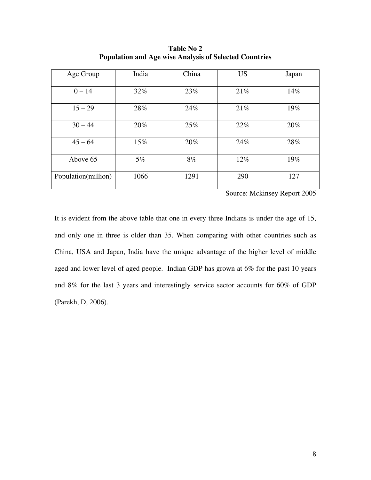| Age Group           | India | China | <b>US</b> | Japan |
|---------------------|-------|-------|-----------|-------|
| $0 - 14$            | 32%   | 23%   | 21%       | 14%   |
| $15 - 29$           | 28%   | 24%   | 21%       | 19%   |
| $30 - 44$           | 20%   | 25%   | 22%       | 20%   |
| $45 - 64$           | 15%   | 20%   | 24%       | 28%   |
| Above 65            | $5\%$ | 8%    | $12\%$    | 19%   |
| Population(million) | 1066  | 1291  | 290       | 127   |

**Table No 2 Population and Age wise Analysis of Selected Countries** 

Source: Mckinsey Report 2005

It is evident from the above table that one in every three Indians is under the age of 15, and only one in three is older than 35. When comparing with other countries such as China, USA and Japan, India have the unique advantage of the higher level of middle aged and lower level of aged people. Indian GDP has grown at 6% for the past 10 years and 8% for the last 3 years and interestingly service sector accounts for 60% of GDP (Parekh, D, 2006).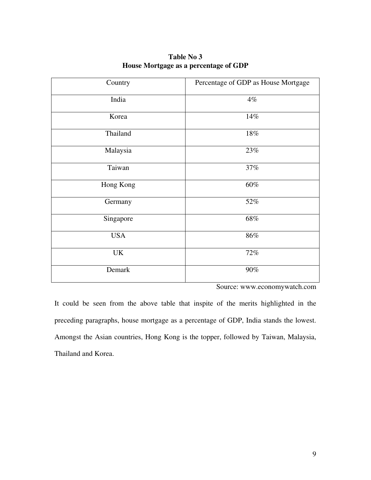| Country    | Percentage of GDP as House Mortgage |  |  |
|------------|-------------------------------------|--|--|
| India      | 4%                                  |  |  |
| Korea      | 14%                                 |  |  |
| Thailand   | $18\%$                              |  |  |
| Malaysia   | $23\%$                              |  |  |
| Taiwan     | 37%                                 |  |  |
| Hong Kong  | $60\%$                              |  |  |
| Germany    | 52%                                 |  |  |
| Singapore  | 68%                                 |  |  |
| <b>USA</b> | $86\%$                              |  |  |
| UK         | 72%                                 |  |  |
| Demark     | $90\%$                              |  |  |

**Table No 3 House Mortgage as a percentage of GDP** 

Source: www.economywatch.com

It could be seen from the above table that inspite of the merits highlighted in the preceding paragraphs, house mortgage as a percentage of GDP, India stands the lowest. Amongst the Asian countries, Hong Kong is the topper, followed by Taiwan, Malaysia, Thailand and Korea.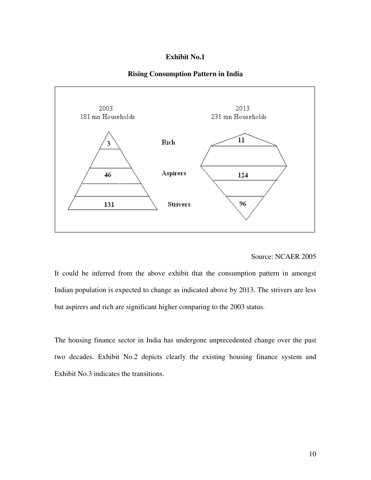#### **Exhibit No.1**





#### Source: NCAER 2005

It could be inferred from the above exhibit that the consumption pattern in amongst Indian population is expected to change as indicated above by 2013. The strivers are less but aspirers and rich are significant higher comparing to the 2003 status.

The housing finance sector in India has undergone unprecedented change over the past two decades. Exhibit No.2 depicts clearly the existing housing finance system and Exhibit No.3 indicates the transitions.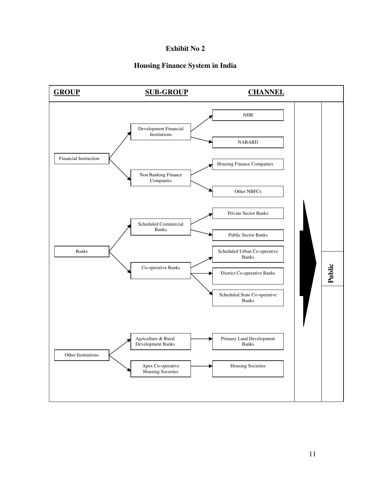#### **Exhibit No 2**

#### **Housing Finance System in India**

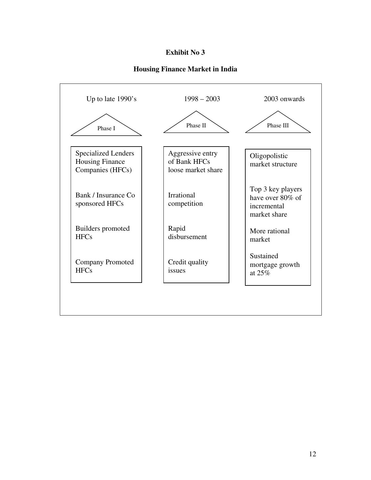#### **Exhibit No 3**

#### **Housing Finance Market in India**

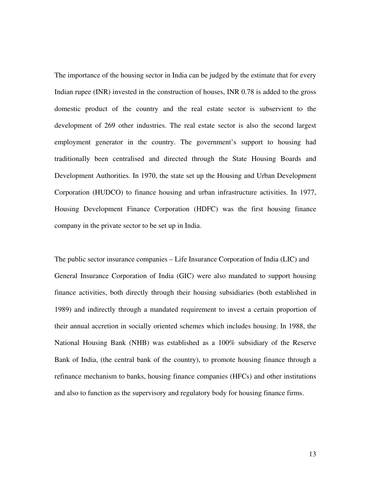The importance of the housing sector in India can be judged by the estimate that for every Indian rupee (INR) invested in the construction of houses, INR 0.78 is added to the gross domestic product of the country and the real estate sector is subservient to the development of 269 other industries. The real estate sector is also the second largest employment generator in the country. The government's support to housing had traditionally been centralised and directed through the State Housing Boards and Development Authorities. In 1970, the state set up the Housing and Urban Development Corporation (HUDCO) to finance housing and urban infrastructure activities. In 1977, Housing Development Finance Corporation (HDFC) was the first housing finance company in the private sector to be set up in India.

The public sector insurance companies – Life Insurance Corporation of India (LIC) and General Insurance Corporation of India (GIC) were also mandated to support housing finance activities, both directly through their housing subsidiaries (both established in 1989) and indirectly through a mandated requirement to invest a certain proportion of their annual accretion in socially oriented schemes which includes housing. In 1988, the National Housing Bank (NHB) was established as a 100% subsidiary of the Reserve Bank of India, (the central bank of the country), to promote housing finance through a refinance mechanism to banks, housing finance companies (HFCs) and other institutions and also to function as the supervisory and regulatory body for housing finance firms.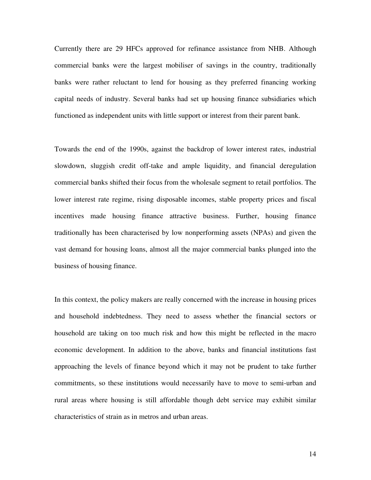Currently there are 29 HFCs approved for refinance assistance from NHB. Although commercial banks were the largest mobiliser of savings in the country, traditionally banks were rather reluctant to lend for housing as they preferred financing working capital needs of industry. Several banks had set up housing finance subsidiaries which functioned as independent units with little support or interest from their parent bank.

Towards the end of the 1990s, against the backdrop of lower interest rates, industrial slowdown, sluggish credit off-take and ample liquidity, and financial deregulation commercial banks shifted their focus from the wholesale segment to retail portfolios. The lower interest rate regime, rising disposable incomes, stable property prices and fiscal incentives made housing finance attractive business. Further, housing finance traditionally has been characterised by low nonperforming assets (NPAs) and given the vast demand for housing loans, almost all the major commercial banks plunged into the business of housing finance.

In this context, the policy makers are really concerned with the increase in housing prices and household indebtedness. They need to assess whether the financial sectors or household are taking on too much risk and how this might be reflected in the macro economic development. In addition to the above, banks and financial institutions fast approaching the levels of finance beyond which it may not be prudent to take further commitments, so these institutions would necessarily have to move to semi-urban and rural areas where housing is still affordable though debt service may exhibit similar characteristics of strain as in metros and urban areas.

14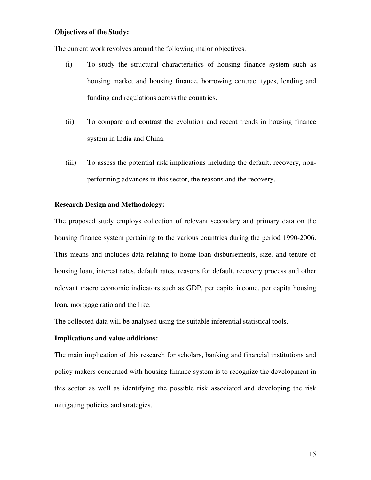#### **Objectives of the Study:**

The current work revolves around the following major objectives.

- (i) To study the structural characteristics of housing finance system such as housing market and housing finance, borrowing contract types, lending and funding and regulations across the countries.
- (ii) To compare and contrast the evolution and recent trends in housing finance system in India and China.
- (iii) To assess the potential risk implications including the default, recovery, nonperforming advances in this sector, the reasons and the recovery.

#### **Research Design and Methodology:**

The proposed study employs collection of relevant secondary and primary data on the housing finance system pertaining to the various countries during the period 1990-2006. This means and includes data relating to home-loan disbursements, size, and tenure of housing loan, interest rates, default rates, reasons for default, recovery process and other relevant macro economic indicators such as GDP, per capita income, per capita housing loan, mortgage ratio and the like.

The collected data will be analysed using the suitable inferential statistical tools.

#### **Implications and value additions:**

The main implication of this research for scholars, banking and financial institutions and policy makers concerned with housing finance system is to recognize the development in this sector as well as identifying the possible risk associated and developing the risk mitigating policies and strategies.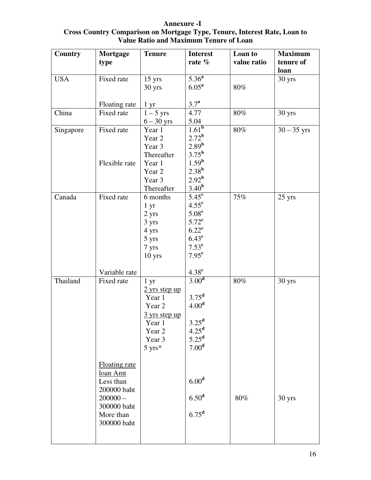| <b>Country</b> | <b>Mortgage</b>      | <b>Tenure</b>             | <b>Interest</b>                | Loan to     | <b>Maximum</b> |
|----------------|----------------------|---------------------------|--------------------------------|-------------|----------------|
|                | type                 |                           | rate $%$                       | value ratio | tenure of      |
|                |                      |                           |                                |             | loan           |
| <b>USA</b>     | Fixed rate           | $15 \text{ yrs}$          | $5.36^{a}$                     |             | 30 yrs         |
|                |                      | 30 yrs                    | $6.05^{\rm a}$                 | 80%         |                |
|                |                      |                           |                                |             |                |
|                | Floating rate        | 1 yr                      | $3.7^{\rm a}$                  |             |                |
| China          | Fixed rate           | $1-5$ yrs                 | 4.77                           | 80%         | 30 yrs         |
|                |                      | $6 - 30$ yrs              | 5.04                           |             |                |
| Singapore      | Fixed rate           | Year 1                    | $1.\overline{61}^{\mathrm{b}}$ | 80%         | $30 - 35$ yrs  |
|                |                      | Year 2                    | 2.72 <sup>b</sup>              |             |                |
|                |                      | Year 3                    | 2.89 <sup>b</sup>              |             |                |
|                |                      | Thereafter                | 3.75 <sup>b</sup>              |             |                |
|                | Flexible rate        | Year 1                    | $1.59^{\rm b}$                 |             |                |
|                |                      | Year 2                    | $2.38^{b}$                     |             |                |
|                |                      | Year 3                    | 2.92 <sup>b</sup>              |             |                |
|                |                      | Thereafter                | 3.40 <sup>b</sup>              |             |                |
| Canada         | Fixed rate           | 6 months                  | $5.45^{\circ}$                 | 75%         | 25 yrs         |
|                |                      | 1 <sub>yr</sub>           | 4.55 <sup>c</sup>              |             |                |
|                |                      | 2 yrs                     | 5.08 <sup>c</sup>              |             |                |
|                |                      | 3 yrs                     | $5.72^{\mathrm{c}}$            |             |                |
|                |                      | 4 yrs                     | $6.22^{\text{c}}$              |             |                |
|                |                      | 5 yrs                     | $6.43^{\mathrm{c}}$            |             |                |
|                |                      | 7 yrs                     | $7.53^{\text{c}}$              |             |                |
|                |                      | $10$ yrs                  | 7.95 <sup>c</sup>              |             |                |
|                |                      |                           |                                |             |                |
|                | Variable rate        |                           | 4.38 <sup>c</sup>              |             |                |
| Thailand       | Fixed rate           | 1 <sub>yr</sub>           | 3.00 <sup>d</sup>              | 80%         | 30 yrs         |
|                |                      | $2$ yrs step up           |                                |             |                |
|                |                      | Year 1                    | 3.75 <sup>d</sup>              |             |                |
|                |                      | Year <sub>2</sub>         | 4.00 <sup>d</sup>              |             |                |
|                |                      | $\frac{3}{1}$ yrs step up |                                |             |                |
|                |                      | Year 1                    | $3.25^{\rm d}$                 |             |                |
|                |                      | Year 2                    | 4.25 <sup>d</sup>              |             |                |
|                |                      | Year 3                    | $5.25^{\mathrm{d}}$            |             |                |
|                |                      | $5 \text{ yrs}^*$         | 7.00 <sup>d</sup>              |             |                |
|                |                      |                           |                                |             |                |
|                | <b>Floating rate</b> |                           |                                |             |                |
|                | loan Amt             |                           |                                |             |                |
|                | Less than            |                           | 6.00 <sup>d</sup>              |             |                |
|                | 200000 baht          |                           |                                |             |                |
|                | $200000 -$           |                           | 6.50 <sup>d</sup>              | 80%         | 30 yrs         |
|                | 300000 baht          |                           |                                |             |                |
|                | More than            |                           | $6.75^d$                       |             |                |
|                | 300000 baht          |                           |                                |             |                |
|                |                      |                           |                                |             |                |
|                |                      |                           |                                |             |                |

**Annexure -I Cross Country Comparison on Mortgage Type, Tenure, Interest Rate, Loan to Value Ratio and Maximum Tenure of Loan**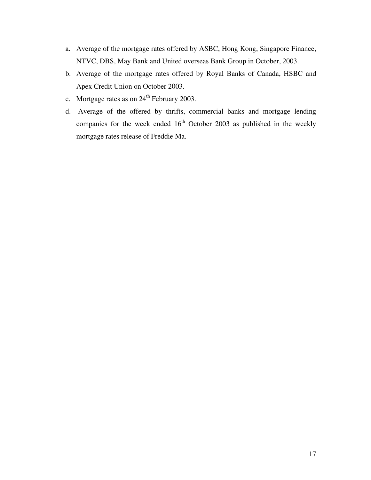- a. Average of the mortgage rates offered by ASBC, Hong Kong, Singapore Finance, NTVC, DBS, May Bank and United overseas Bank Group in October, 2003.
- b. Average of the mortgage rates offered by Royal Banks of Canada, HSBC and Apex Credit Union on October 2003.
- c. Mortgage rates as on  $24<sup>th</sup>$  February 2003.
- d. Average of the offered by thrifts, commercial banks and mortgage lending companies for the week ended  $16<sup>th</sup>$  October 2003 as published in the weekly mortgage rates release of Freddie Ma.